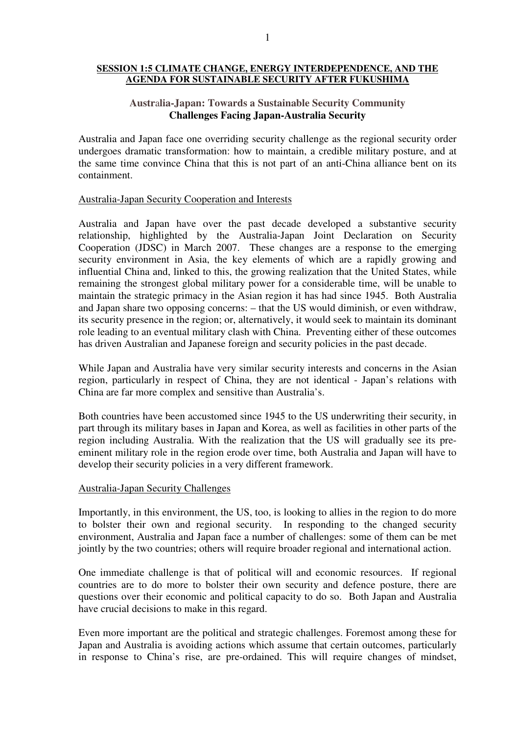### **SESSION 1:5 CLIMATE CHANGE, ENERGY INTERDEPENDENCE, AND THE AGENDA FOR SUSTAINABLE SECURITY AFTER FUKUSHIMA**

# **Austr**a**lia-Japan: Towards a Sustainable Security Community Challenges Facing Japan-Australia Security**

Australia and Japan face one overriding security challenge as the regional security order undergoes dramatic transformation: how to maintain, a credible military posture, and at the same time convince China that this is not part of an anti-China alliance bent on its containment.

## Australia-Japan Security Cooperation and Interests

Australia and Japan have over the past decade developed a substantive security relationship, highlighted by the Australia-Japan Joint Declaration on Security Cooperation (JDSC) in March 2007. These changes are a response to the emerging security environment in Asia, the key elements of which are a rapidly growing and influential China and, linked to this, the growing realization that the United States, while remaining the strongest global military power for a considerable time, will be unable to maintain the strategic primacy in the Asian region it has had since 1945. Both Australia and Japan share two opposing concerns: – that the US would diminish, or even withdraw, its security presence in the region; or, alternatively, it would seek to maintain its dominant role leading to an eventual military clash with China. Preventing either of these outcomes has driven Australian and Japanese foreign and security policies in the past decade.

While Japan and Australia have very similar security interests and concerns in the Asian region, particularly in respect of China, they are not identical - Japan's relations with China are far more complex and sensitive than Australia's.

Both countries have been accustomed since 1945 to the US underwriting their security, in part through its military bases in Japan and Korea, as well as facilities in other parts of the region including Australia. With the realization that the US will gradually see its preeminent military role in the region erode over time, both Australia and Japan will have to develop their security policies in a very different framework.

#### Australia-Japan Security Challenges

Importantly, in this environment, the US, too, is looking to allies in the region to do more to bolster their own and regional security. In responding to the changed security environment, Australia and Japan face a number of challenges: some of them can be met jointly by the two countries; others will require broader regional and international action.

One immediate challenge is that of political will and economic resources. If regional countries are to do more to bolster their own security and defence posture, there are questions over their economic and political capacity to do so. Both Japan and Australia have crucial decisions to make in this regard.

Even more important are the political and strategic challenges. Foremost among these for Japan and Australia is avoiding actions which assume that certain outcomes, particularly in response to China's rise, are pre-ordained. This will require changes of mindset,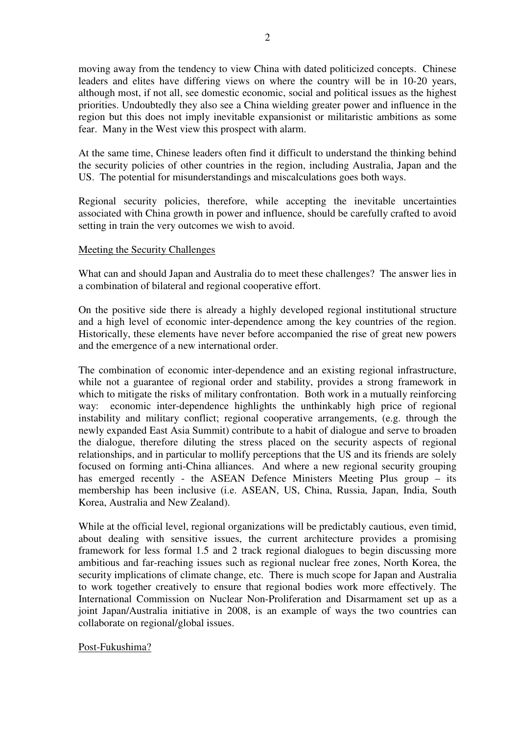moving away from the tendency to view China with dated politicized concepts. Chinese leaders and elites have differing views on where the country will be in 10-20 years, although most, if not all, see domestic economic, social and political issues as the highest priorities. Undoubtedly they also see a China wielding greater power and influence in the region but this does not imply inevitable expansionist or militaristic ambitions as some fear. Many in the West view this prospect with alarm.

At the same time, Chinese leaders often find it difficult to understand the thinking behind the security policies of other countries in the region, including Australia, Japan and the US. The potential for misunderstandings and miscalculations goes both ways.

Regional security policies, therefore, while accepting the inevitable uncertainties associated with China growth in power and influence, should be carefully crafted to avoid setting in train the very outcomes we wish to avoid.

## Meeting the Security Challenges

What can and should Japan and Australia do to meet these challenges? The answer lies in a combination of bilateral and regional cooperative effort.

On the positive side there is already a highly developed regional institutional structure and a high level of economic inter-dependence among the key countries of the region. Historically, these elements have never before accompanied the rise of great new powers and the emergence of a new international order.

The combination of economic inter-dependence and an existing regional infrastructure, while not a guarantee of regional order and stability, provides a strong framework in which to mitigate the risks of military confrontation. Both work in a mutually reinforcing way: economic inter-dependence highlights the unthinkably high price of regional instability and military conflict; regional cooperative arrangements, (e.g. through the newly expanded East Asia Summit) contribute to a habit of dialogue and serve to broaden the dialogue, therefore diluting the stress placed on the security aspects of regional relationships, and in particular to mollify perceptions that the US and its friends are solely focused on forming anti-China alliances. And where a new regional security grouping has emerged recently - the ASEAN Defence Ministers Meeting Plus group – its membership has been inclusive (i.e. ASEAN, US, China, Russia, Japan, India, South Korea, Australia and New Zealand).

While at the official level, regional organizations will be predictably cautious, even timid, about dealing with sensitive issues, the current architecture provides a promising framework for less formal 1.5 and 2 track regional dialogues to begin discussing more ambitious and far-reaching issues such as regional nuclear free zones, North Korea, the security implications of climate change, etc. There is much scope for Japan and Australia to work together creatively to ensure that regional bodies work more effectively. The International Commission on Nuclear Non-Proliferation and Disarmament set up as a joint Japan/Australia initiative in 2008, is an example of ways the two countries can collaborate on regional/global issues.

#### Post-Fukushima?